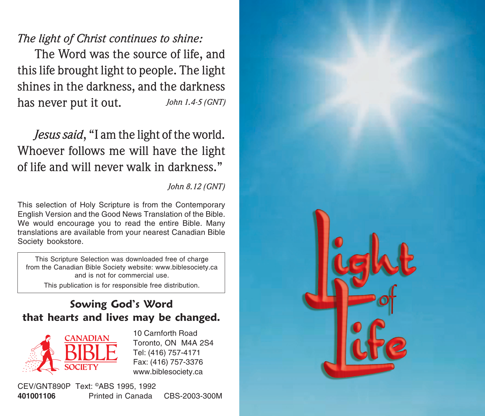## The light of Christ continues to shine:

The Word was the source of life, and this life brought light to people. The light shines in the darkness, and the darkness has never put it out. John 1.4-5 (GNT)

# Jesus said, "I am the light of the world. Whoever follows me will have the light of life and will never walk in darkness "

### John 8.12 (GNT)

This selection of Holy Scripture is from the Contemporary English Version and the Good News Translation of the Bible. We would encourage you to read the entire Bible. Many translations are available from your nearest Canadian Bible Society bookstore.

This Scripture Selection was downloaded free of charge from the Canadian Bible Society website: www.biblesociety.ca and is not for commercial use.

#### This publication is for responsible free distribution.

## Sowing God's Word that hearts and lives may be changed.



10 Carnforth Boad Toronto, ON M4A 2S4 Tel: (416) 757-4171 Fax: (416) 757-3376 www.biblesociety.ca

CEV/GNT890P Text: ®ABS 1995, 1992 401001106 Printed in Canada CBS-2003-300M